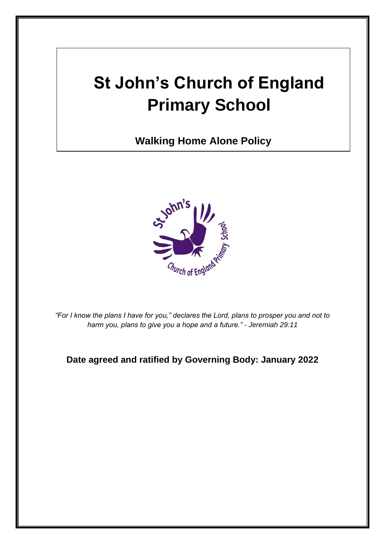# **St John's Church of England Primary School**

**Walking Home Alone Policy**



*"For I know the plans I have for you," declares the Lord, plans to prosper you and not to harm you, plans to give you a hope and a future." - Jeremiah 29:11*

**Date agreed and ratified by Governing Body: January 2022**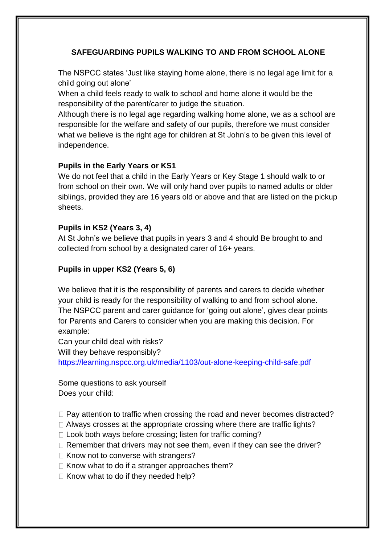## **SAFEGUARDING PUPILS WALKING TO AND FROM SCHOOL ALONE**

The NSPCC states 'Just like staying home alone, there is no legal age limit for a child going out alone'

When a child feels ready to walk to school and home alone it would be the responsibility of the parent/carer to judge the situation.

Although there is no legal age regarding walking home alone, we as a school are responsible for the welfare and safety of our pupils, therefore we must consider what we believe is the right age for children at St John's to be given this level of independence.

#### **Pupils in the Early Years or KS1**

We do not feel that a child in the Early Years or Key Stage 1 should walk to or from school on their own. We will only hand over pupils to named adults or older siblings, provided they are 16 years old or above and that are listed on the pickup sheets.

#### **Pupils in KS2 (Years 3, 4)**

At St John's we believe that pupils in years 3 and 4 should Be brought to and collected from school by a designated carer of 16+ years.

### **Pupils in upper KS2 (Years 5, 6)**

We believe that it is the responsibility of parents and carers to decide whether your child is ready for the responsibility of walking to and from school alone. The NSPCC parent and carer guidance for 'going out alone', gives clear points for Parents and Carers to consider when you are making this decision. For example:

Can your child deal with risks?

Will they behave responsibly?

<https://learning.nspcc.org.uk/media/1103/out-alone-keeping-child-safe.pdf>

Some questions to ask yourself Does your child:

 $\Box$  Pay attention to traffic when crossing the road and never becomes distracted?

 $\Box$  Always crosses at the appropriate crossing where there are traffic lights?

 $\Box$  Look both ways before crossing; listen for traffic coming?

 $\Box$  Remember that drivers may not see them, even if they can see the driver?

 $\Box$  Know not to converse with strangers?

 $\Box$  Know what to do if a stranger approaches them?

 $\Box$  Know what to do if they needed help?